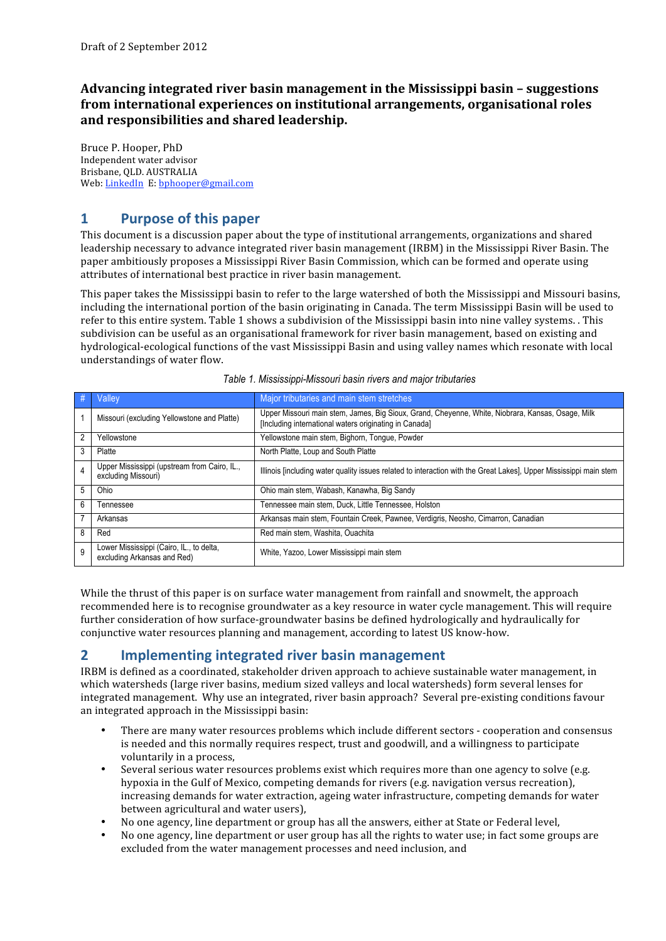**Advancing integrated river basin management in the Mississippi basin – suggestions from international experiences on institutional arrangements, organisational roles and responsibilities and shared leadership.**

Bruce P. Hooper, PhD Independent water advisor Brisbane, QLD. AUSTRALIA Web: LinkedIn E: bphooper@gmail.com

# **1 Purpose of this paper**

This document is a discussion paper about the type of institutional arrangements, organizations and shared leadership necessary to advance integrated river basin management (IRBM) in the Mississippi River Basin. The paper ambitiously proposes a Mississippi River Basin Commission, which can be formed and operate using attributes of international best practice in river basin management.

This paper takes the Mississippi basin to refer to the large watershed of both the Mississippi and Missouri basins, including the international portion of the basin originating in Canada. The term Mississippi Basin will be used to refer to this entire system. Table 1 shows a subdivision of the Mississippi basin into nine valley systems. . This subdivision can be useful as an organisational framework for river basin management, based on existing and hydrological‐ecological functions of the vast Mississippi Basin and using valley names which resonate with local understandings of water flow.

|   | Valley                                                                  | Major tributaries and main stem stretches                                                                                                                   |
|---|-------------------------------------------------------------------------|-------------------------------------------------------------------------------------------------------------------------------------------------------------|
|   | Missouri (excluding Yellowstone and Platte)                             | Upper Missouri main stem, James, Big Sioux, Grand, Cheyenne, White, Niobrara, Kansas, Osage, Milk<br>[Including international waters originating in Canada] |
| 2 | Yellowstone                                                             | Yellowstone main stem, Bighorn, Tongue, Powder                                                                                                              |
| 3 | Platte                                                                  | North Platte, Loup and South Platte                                                                                                                         |
| 4 | Upper Mississippi (upstream from Cairo, IL.,<br>excluding Missouri)     | Illinois [including water quality issues related to interaction with the Great Lakes]. Upper Mississippi main stem                                          |
| 5 | Ohio                                                                    | Ohio main stem, Wabash, Kanawha, Big Sandy                                                                                                                  |
| 6 | Tennessee                                                               | Tennessee main stem, Duck, Little Tennessee, Holston                                                                                                        |
|   | Arkansas                                                                | Arkansas main stem, Fountain Creek, Pawnee, Verdigris, Neosho, Cimarron, Canadian                                                                           |
| 8 | Red                                                                     | Red main stem, Washita, Ouachita                                                                                                                            |
| 9 | Lower Mississippi (Cairo, IL., to delta,<br>excluding Arkansas and Red) | White, Yazoo, Lower Mississippi main stem                                                                                                                   |

|  |  | Table 1. Mississippi-Missouri basin rivers and major tributaries |  |
|--|--|------------------------------------------------------------------|--|
|  |  |                                                                  |  |

While the thrust of this paper is on surface water management from rainfall and snowmelt, the approach recommended here is to recognise groundwater as a key resource in water cycle management. This will require further consideration of how surface-groundwater basins be defined hydrologically and hydraulically for conjunctive water resources planning and management, according to latest US know‐how.

# **2 Implementing integrated river basin management**

IRBM is defined as a coordinated, stakeholder driven approach to achieve sustainable water management, in which watersheds (large river basins, medium sized valleys and local watersheds) form several lenses for integrated management. Why use an integrated, river basin approach? Several pre‐existing conditions favour an integrated approach in the Mississippi basin:

- There are many water resources problems which include different sectors ‐ cooperation and consensus is needed and this normally requires respect, trust and goodwill, and a willingness to participate voluntarily in a process,
- Several serious water resources problems exist which requires more than one agency to solve (e.g. hypoxia in the Gulf of Mexico, competing demands for rivers (e.g. navigation versus recreation), increasing demands for water extraction, ageing water infrastructure, competing demands for water between agricultural and water users),
- No one agency, line department or group has all the answers, either at State or Federal level,
- No one agency, line department or user group has all the rights to water use; in fact some groups are excluded from the water management processes and need inclusion, and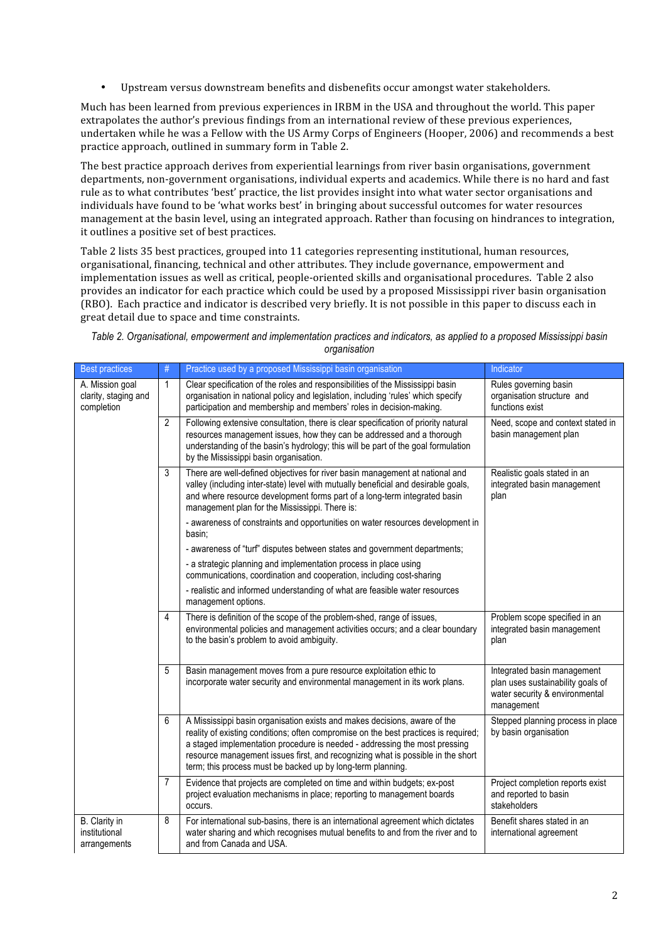• Upstream versus downstream benefits and disbenefits occur amongst water stakeholders.

Much has been learned from previous experiences in IRBM in the USA and throughout the world. This paper extrapolates the author's previous findings from an international review of these previous experiences, undertaken while he was a Fellow with the US Army Corps of Engineers (Hooper, 2006) and recommends a best practice approach, outlined in summary form in Table 2.

The best practice approach derives from experiential learnings from river basin organisations, government departments, non‐government organisations, individual experts and academics. While there is no hard and fast rule as to what contributes 'best' practice, the list provides insight into what water sector organisations and individuals have found to be 'what works best' in bringing about successful outcomes for water resources management at the basin level, using an integrated approach. Rather than focusing on hindrances to integration, it outlines a positive set of best practices.

Table 2 lists 35 best practices, grouped into 11 categories representing institutional, human resources, organisational, financing, technical and other attributes. They include governance, empowerment and implementation issues as well as critical, people‐oriented skills and organisational procedures. Table 2 also provides an indicator for each practice which could be used by a proposed Mississippi river basin organisation (RBO). Each practice and indicator is described very briefly. It is not possible in this paper to discuss each in great detail due to space and time constraints.

*Table 2. Organisational, empowerment and implementation practices and indicators, as applied to a proposed Mississippi basin organisation*

| <b>Best practices</b>                                 | #              | Practice used by a proposed Mississippi basin organisation                                                                                                                                                                                                                                                                                                                                       | Indicator                                                                                                        |
|-------------------------------------------------------|----------------|--------------------------------------------------------------------------------------------------------------------------------------------------------------------------------------------------------------------------------------------------------------------------------------------------------------------------------------------------------------------------------------------------|------------------------------------------------------------------------------------------------------------------|
| A. Mission goal<br>clarity, staging and<br>completion | 1              | Clear specification of the roles and responsibilities of the Mississippi basin<br>organisation in national policy and legislation, including 'rules' which specify<br>participation and membership and members' roles in decision-making.                                                                                                                                                        | Rules governing basin<br>organisation structure and<br>functions exist                                           |
|                                                       | $\overline{2}$ | Following extensive consultation, there is clear specification of priority natural<br>resources management issues, how they can be addressed and a thorough<br>understanding of the basin's hydrology; this will be part of the goal formulation<br>by the Mississippi basin organisation.                                                                                                       | Need, scope and context stated in<br>basin management plan                                                       |
|                                                       | 3              | There are well-defined objectives for river basin management at national and<br>valley (including inter-state) level with mutually beneficial and desirable goals,<br>and where resource development forms part of a long-term integrated basin<br>management plan for the Mississippi. There is:                                                                                                | Realistic goals stated in an<br>integrated basin management<br>plan                                              |
|                                                       |                | - awareness of constraints and opportunities on water resources development in<br>basin:                                                                                                                                                                                                                                                                                                         |                                                                                                                  |
|                                                       |                | - awareness of "turf" disputes between states and government departments;                                                                                                                                                                                                                                                                                                                        |                                                                                                                  |
|                                                       |                | - a strategic planning and implementation process in place using<br>communications, coordination and cooperation, including cost-sharing                                                                                                                                                                                                                                                         |                                                                                                                  |
|                                                       |                | - realistic and informed understanding of what are feasible water resources<br>management options.                                                                                                                                                                                                                                                                                               |                                                                                                                  |
|                                                       | 4              | There is definition of the scope of the problem-shed, range of issues,<br>environmental policies and management activities occurs; and a clear boundary<br>to the basin's problem to avoid ambiguity.                                                                                                                                                                                            | Problem scope specified in an<br>integrated basin management<br>plan                                             |
|                                                       | 5              | Basin management moves from a pure resource exploitation ethic to<br>incorporate water security and environmental management in its work plans.                                                                                                                                                                                                                                                  | Integrated basin management<br>plan uses sustainability goals of<br>water security & environmental<br>management |
|                                                       | 6              | A Mississippi basin organisation exists and makes decisions, aware of the<br>reality of existing conditions; often compromise on the best practices is required;<br>a staged implementation procedure is needed - addressing the most pressing<br>resource management issues first, and recognizing what is possible in the short<br>term; this process must be backed up by long-term planning. | Stepped planning process in place<br>by basin organisation                                                       |
|                                                       | $\overline{7}$ | Evidence that projects are completed on time and within budgets; ex-post<br>project evaluation mechanisms in place; reporting to management boards<br>occurs.                                                                                                                                                                                                                                    | Project completion reports exist<br>and reported to basin<br>stakeholders                                        |
| B. Clarity in<br>institutional<br>arrangements        | 8              | For international sub-basins, there is an international agreement which dictates<br>water sharing and which recognises mutual benefits to and from the river and to<br>and from Canada and USA.                                                                                                                                                                                                  | Benefit shares stated in an<br>international agreement                                                           |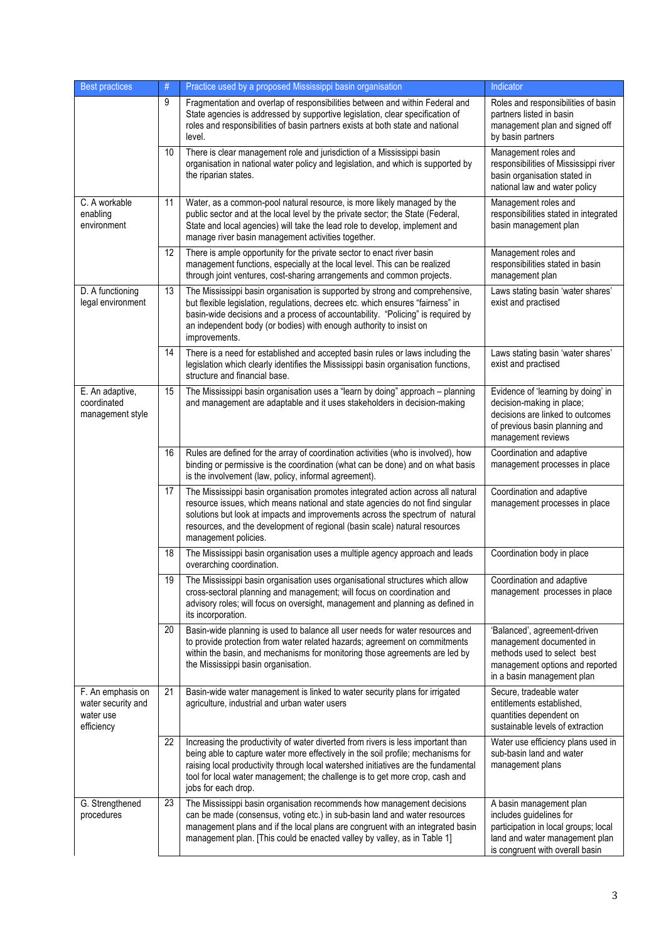| <b>Best practices</b>                                              | $\#$ | Practice used by a proposed Mississippi basin organisation                                                                                                                                                                                                                                                                                                        | Indicator                                                                                                                                                       |
|--------------------------------------------------------------------|------|-------------------------------------------------------------------------------------------------------------------------------------------------------------------------------------------------------------------------------------------------------------------------------------------------------------------------------------------------------------------|-----------------------------------------------------------------------------------------------------------------------------------------------------------------|
|                                                                    | 9    | Fragmentation and overlap of responsibilities between and within Federal and<br>State agencies is addressed by supportive legislation, clear specification of<br>roles and responsibilities of basin partners exists at both state and national<br>level.                                                                                                         | Roles and responsibilities of basin<br>partners listed in basin<br>management plan and signed off<br>by basin partners                                          |
|                                                                    | 10   | There is clear management role and jurisdiction of a Mississippi basin<br>organisation in national water policy and legislation, and which is supported by<br>the riparian states.                                                                                                                                                                                | Management roles and<br>responsibilities of Mississippi river<br>basin organisation stated in<br>national law and water policy                                  |
| C. A workable<br>enabling<br>environment                           | 11   | Water, as a common-pool natural resource, is more likely managed by the<br>public sector and at the local level by the private sector; the State (Federal,<br>State and local agencies) will take the lead role to develop, implement and<br>manage river basin management activities together.                                                                   | Management roles and<br>responsibilities stated in integrated<br>basin management plan                                                                          |
|                                                                    | 12   | There is ample opportunity for the private sector to enact river basin<br>management functions, especially at the local level. This can be realized<br>through joint ventures, cost-sharing arrangements and common projects.                                                                                                                                     | Management roles and<br>responsibilities stated in basin<br>management plan                                                                                     |
| D. A functioning<br>legal environment                              | 13   | The Mississippi basin organisation is supported by strong and comprehensive,<br>but flexible legislation, regulations, decrees etc. which ensures "fairness" in<br>basin-wide decisions and a process of accountability. "Policing" is required by<br>an independent body (or bodies) with enough authority to insist on<br>improvements.                         | Laws stating basin 'water shares'<br>exist and practised                                                                                                        |
|                                                                    | 14   | There is a need for established and accepted basin rules or laws including the<br>legislation which clearly identifies the Mississippi basin organisation functions,<br>structure and financial base.                                                                                                                                                             | Laws stating basin 'water shares'<br>exist and practised                                                                                                        |
| E. An adaptive,<br>coordinated<br>management style                 | 15   | The Mississippi basin organisation uses a "learn by doing" approach - planning<br>and management are adaptable and it uses stakeholders in decision-making                                                                                                                                                                                                        | Evidence of 'learning by doing' in<br>decision-making in place;<br>decisions are linked to outcomes<br>of previous basin planning and<br>management reviews     |
|                                                                    | 16   | Rules are defined for the array of coordination activities (who is involved), how<br>binding or permissive is the coordination (what can be done) and on what basis<br>is the involvement (law, policy, informal agreement).                                                                                                                                      | Coordination and adaptive<br>management processes in place                                                                                                      |
|                                                                    | 17   | The Mississippi basin organisation promotes integrated action across all natural<br>resource issues, which means national and state agencies do not find singular<br>solutions but look at impacts and improvements across the spectrum of natural<br>resources, and the development of regional (basin scale) natural resources<br>management policies.          | Coordination and adaptive<br>management processes in place                                                                                                      |
|                                                                    | 18   | The Mississippi basin organisation uses a multiple agency approach and leads<br>overarching coordination.                                                                                                                                                                                                                                                         | Coordination body in place                                                                                                                                      |
|                                                                    | 19   | The Mississippi basin organisation uses organisational structures which allow<br>cross-sectoral planning and management; will focus on coordination and<br>advisory roles; will focus on oversight, management and planning as defined in<br>its incorporation.                                                                                                   | Coordination and adaptive<br>management processes in place                                                                                                      |
|                                                                    | 20   | Basin-wide planning is used to balance all user needs for water resources and<br>to provide protection from water related hazards; agreement on commitments<br>within the basin, and mechanisms for monitoring those agreements are led by<br>the Mississippi basin organisation.                                                                                 | 'Balanced', agreement-driven<br>management documented in<br>methods used to select best<br>management options and reported<br>in a basin management plan        |
| F. An emphasis on<br>water security and<br>water use<br>efficiency | 21   | Basin-wide water management is linked to water security plans for irrigated<br>agriculture, industrial and urban water users                                                                                                                                                                                                                                      | Secure, tradeable water<br>entitlements established.<br>quantities dependent on<br>sustainable levels of extraction                                             |
|                                                                    | 22   | Increasing the productivity of water diverted from rivers is less important than<br>being able to capture water more effectively in the soil profile; mechanisms for<br>raising local productivity through local watershed initiatives are the fundamental<br>tool for local water management; the challenge is to get more crop, cash and<br>jobs for each drop. | Water use efficiency plans used in<br>sub-basin land and water<br>management plans                                                                              |
| G. Strengthened<br>procedures                                      | 23   | The Mississippi basin organisation recommends how management decisions<br>can be made (consensus, voting etc.) in sub-basin land and water resources<br>management plans and if the local plans are congruent with an integrated basin<br>management plan. [This could be enacted valley by valley, as in Table 1]                                                | A basin management plan<br>includes guidelines for<br>participation in local groups; local<br>land and water management plan<br>is congruent with overall basin |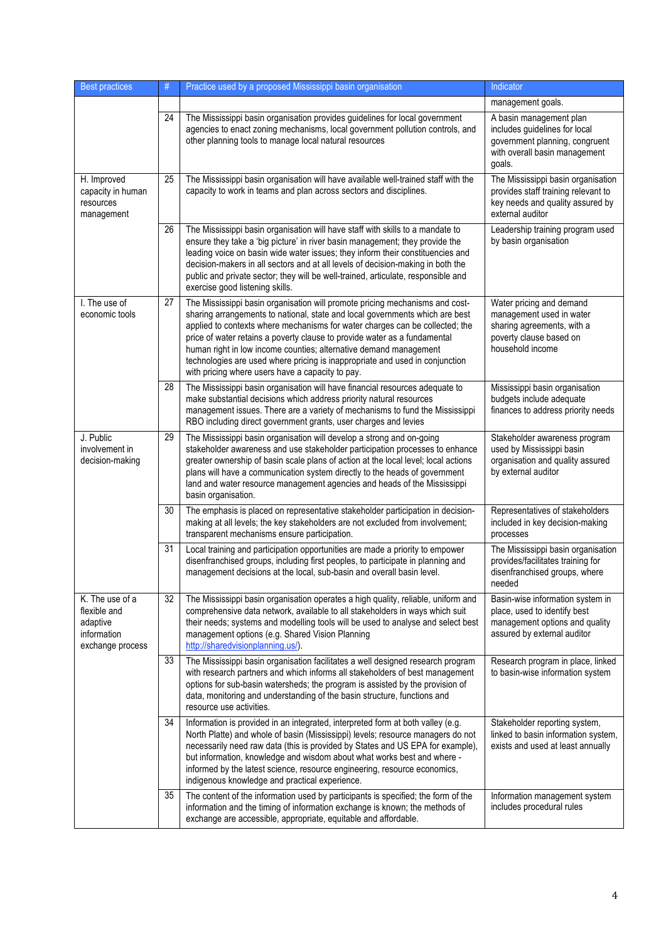| <b>Best practices</b>                                                          | #               | Practice used by a proposed Mississippi basin organisation                                                                                                                                                                                                                                                                                                                                                                                                                                                                         | Indicator                                                                                                                             |
|--------------------------------------------------------------------------------|-----------------|------------------------------------------------------------------------------------------------------------------------------------------------------------------------------------------------------------------------------------------------------------------------------------------------------------------------------------------------------------------------------------------------------------------------------------------------------------------------------------------------------------------------------------|---------------------------------------------------------------------------------------------------------------------------------------|
|                                                                                |                 |                                                                                                                                                                                                                                                                                                                                                                                                                                                                                                                                    | management goals.                                                                                                                     |
|                                                                                | 24              | The Mississippi basin organisation provides guidelines for local government<br>agencies to enact zoning mechanisms, local government pollution controls, and<br>other planning tools to manage local natural resources                                                                                                                                                                                                                                                                                                             | A basin management plan<br>includes guidelines for local<br>government planning, congruent<br>with overall basin management<br>goals. |
| H. Improved<br>capacity in human<br>resources<br>management                    | 25              | The Mississippi basin organisation will have available well-trained staff with the<br>capacity to work in teams and plan across sectors and disciplines.                                                                                                                                                                                                                                                                                                                                                                           | The Mississippi basin organisation<br>provides staff training relevant to<br>key needs and quality assured by<br>external auditor     |
|                                                                                | 26              | The Mississippi basin organisation will have staff with skills to a mandate to<br>ensure they take a 'big picture' in river basin management; they provide the<br>leading voice on basin wide water issues; they inform their constituencies and<br>decision-makers in all sectors and at all levels of decision-making in both the<br>public and private sector; they will be well-trained, articulate, responsible and<br>exercise good listening skills.                                                                        | Leadership training program used<br>by basin organisation                                                                             |
| I. The use of<br>economic tools                                                | 27              | The Mississippi basin organisation will promote pricing mechanisms and cost-<br>sharing arrangements to national, state and local governments which are best<br>applied to contexts where mechanisms for water charges can be collected; the<br>price of water retains a poverty clause to provide water as a fundamental<br>human right in low income counties; alternative demand management<br>technologies are used where pricing is inappropriate and used in conjunction<br>with pricing where users have a capacity to pay. | Water pricing and demand<br>management used in water<br>sharing agreements, with a<br>poverty clause based on<br>household income     |
|                                                                                | 28              | The Mississippi basin organisation will have financial resources adequate to<br>make substantial decisions which address priority natural resources<br>management issues. There are a variety of mechanisms to fund the Mississippi<br>RBO including direct government grants, user charges and levies                                                                                                                                                                                                                             | Mississippi basin organisation<br>budgets include adequate<br>finances to address priority needs                                      |
| J. Public<br>involvement in<br>decision-making                                 | 29              | The Mississippi basin organisation will develop a strong and on-going<br>stakeholder awareness and use stakeholder participation processes to enhance<br>greater ownership of basin scale plans of action at the local level; local actions<br>plans will have a communication system directly to the heads of government<br>land and water resource management agencies and heads of the Mississippi<br>basin organisation.                                                                                                       | Stakeholder awareness program<br>used by Mississippi basin<br>organisation and quality assured<br>by external auditor                 |
|                                                                                | 30              | The emphasis is placed on representative stakeholder participation in decision-<br>making at all levels; the key stakeholders are not excluded from involvement;<br>transparent mechanisms ensure participation.                                                                                                                                                                                                                                                                                                                   | Representatives of stakeholders<br>included in key decision-making<br>processes                                                       |
|                                                                                | 31              | Local training and participation opportunities are made a priority to empower<br>disenfranchised groups, including first peoples, to participate in planning and<br>management decisions at the local, sub-basin and overall basin level.                                                                                                                                                                                                                                                                                          | The Mississippi basin organisation<br>provides/facilitates training for<br>disenfranchised groups, where<br>needed                    |
| K. The use of a<br>flexible and<br>adaptive<br>information<br>exchange process | $\overline{32}$ | The Mississippi basin organisation operates a high quality, reliable, uniform and<br>comprehensive data network, available to all stakeholders in ways which suit<br>their needs; systems and modelling tools will be used to analyse and select best<br>management options (e.g. Shared Vision Planning<br>http://sharedvisionplanning.us/).                                                                                                                                                                                      | Basin-wise information system in<br>place, used to identify best<br>management options and quality<br>assured by external auditor     |
|                                                                                | 33              | The Mississippi basin organisation facilitates a well designed research program<br>with research partners and which informs all stakeholders of best management<br>options for sub-basin watersheds; the program is assisted by the provision of<br>data, monitoring and understanding of the basin structure, functions and<br>resource use activities.                                                                                                                                                                           | Research program in place, linked<br>to basin-wise information system                                                                 |
|                                                                                | 34              | Information is provided in an integrated, interpreted form at both valley (e.g.<br>North Platte) and whole of basin (Mississippi) levels; resource managers do not<br>necessarily need raw data (this is provided by States and US EPA for example),<br>but information, knowledge and wisdom about what works best and where -<br>informed by the latest science, resource engineering, resource economics,<br>indigenous knowledge and practical experience.                                                                     | Stakeholder reporting system,<br>linked to basin information system,<br>exists and used at least annually                             |
|                                                                                | 35              | The content of the information used by participants is specified; the form of the<br>information and the timing of information exchange is known; the methods of<br>exchange are accessible, appropriate, equitable and affordable.                                                                                                                                                                                                                                                                                                | Information management system<br>includes procedural rules                                                                            |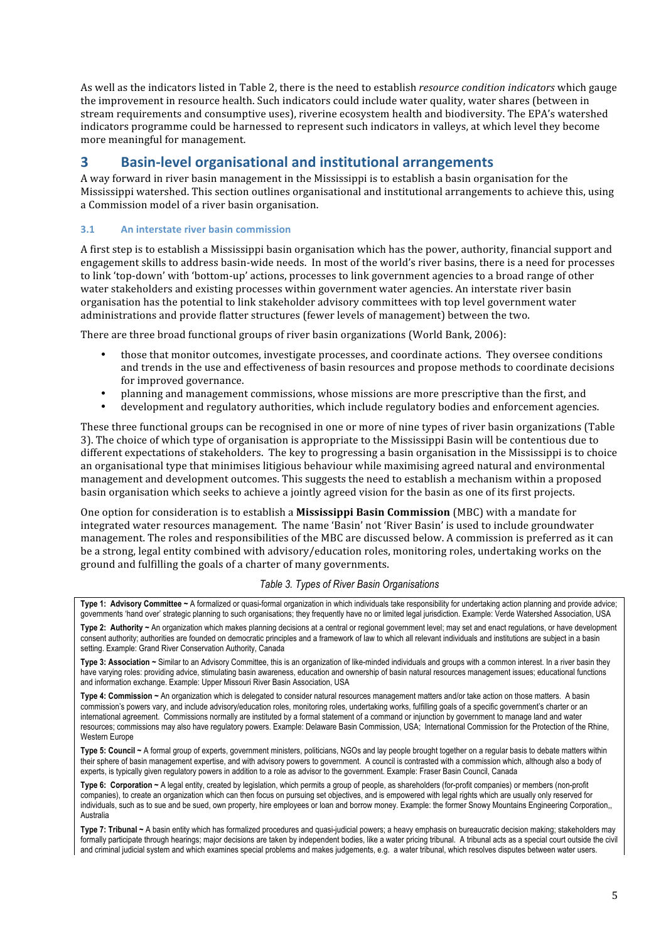As well as the indicators listed in Table 2, there is the need to establish *resource condition indicators* which gauge the improvement in resource health. Such indicators could include water quality, water shares (between in stream requirements and consumptive uses), riverine ecosystem health and biodiversity. The EPA's watershed indicators programme could be harnessed to represent such indicators in valleys, at which level they become more meaningful for management.

# **3 Basin‐level organisational and institutional arrangements**

A way forward in river basin management in the Mississippi is to establish a basin organisation for the Mississippi watershed. This section outlines organisational and institutional arrangements to achieve this, using a Commission model of a river basin organisation.

## **3.1 An interstate river basin commission**

A first step is to establish a Mississippi basin organisation which has the power, authority, financial support and engagement skills to address basin‐wide needs. In most of the world's river basins, there is a need for processes to link 'top-down' with 'bottom-up' actions, processes to link government agencies to a broad range of other water stakeholders and existing processes within government water agencies. An interstate river basin organisation has the potential to link stakeholder advisory committees with top level government water administrations and provide flatter structures (fewer levels of management) between the two.

There are three broad functional groups of river basin organizations (World Bank, 2006):

- those that monitor outcomes, investigate processes, and coordinate actions. They oversee conditions and trends in the use and effectiveness of basin resources and propose methods to coordinate decisions for improved governance.
- planning and management commissions, whose missions are more prescriptive than the first, and
- development and regulatory authorities, which include regulatory bodies and enforcement agencies.

These three functional groups can be recognised in one or more of nine types of river basin organizations (Table 3). The choice of which type of organisation is appropriate to the Mississippi Basin will be contentious due to different expectations of stakeholders. The key to progressing a basin organisation in the Mississippi is to choice an organisational type that minimises litigious behaviour while maximising agreed natural and environmental management and development outcomes. This suggests the need to establish a mechanism within a proposed basin organisation which seeks to achieve a jointly agreed vision for the basin as one of its first projects.

One option for consideration is to establish a **Mississippi Basin Commission** (MBC) with a mandate for integrated water resources management. The name 'Basin' not 'River Basin' is used to include groundwater management. The roles and responsibilities of the MBC are discussed below. A commission is preferred as it can be a strong, legal entity combined with advisory/education roles, monitoring roles, undertaking works on the ground and fulfilling the goals of a charter of many governments.

#### *Table 3. Types of River Basin Organisations*

**Type 1: Advisory Committee ~** A formalized or quasi-formal organization in which individuals take responsibility for undertaking action planning and provide advice; governments 'hand over' strategic planning to such organisations; they frequently have no or limited legal jurisdiction. Example: Verde Watershed Association, USA

**Type 2: Authority ~** An organization which makes planning decisions at a central or regional government level; may set and enact regulations, or have development consent authority; authorities are founded on democratic principles and a framework of law to which all relevant individuals and institutions are subject in a basin setting. Example: Grand River Conservation Authority, Canada

**Type 3: Association ~** Similar to an Advisory Committee, this is an organization of like-minded individuals and groups with a common interest. In a river basin they have varying roles: providing advice, stimulating basin awareness, education and ownership of basin natural resources management issues; educational functions and information exchange. Example: Upper Missouri River Basin Association, USA

**Type 4: Commission ~** An organization which is delegated to consider natural resources management matters and/or take action on those matters. A basin commission's powers vary, and include advisory/education roles, monitoring roles, undertaking works, fulfilling goals of a specific government's charter or an international agreement. Commissions normally are instituted by a formal statement of a command or injunction by government to manage land and water resources; commissions may also have regulatory powers. Example: Delaware Basin Commission, USA; International Commission for the Protection of the Rhine, Western Europe

**Type 5: Council ~** A formal group of experts, government ministers, politicians, NGOs and lay people brought together on a regular basis to debate matters within their sphere of basin management expertise, and with advisory powers to government. A council is contrasted with a commission which, although also a body of experts, is typically given regulatory powers in addition to a role as advisor to the government. Example: Fraser Basin Council, Canada

**Type 6: Corporation ~** A legal entity, created by legislation, which permits a group of people, as shareholders (for-profit companies) or members (non-profit companies), to create an organization which can then focus on pursuing set objectives, and is empowered with legal rights which are usually only reserved for individuals, such as to sue and be sued, own property, hire employees or loan and borrow money. Example: the former Snowy Mountains Engineering Corporation,, Australia

**Type 7: Tribunal ~** A basin entity which has formalized procedures and quasi-judicial powers; a heavy emphasis on bureaucratic decision making; stakeholders may formally participate through hearings; major decisions are taken by independent bodies, like a water pricing tribunal. A tribunal acts as a special court outside the civil and criminal judicial system and which examines special problems and makes judgements, e.g. a water tribunal, which resolves disputes between water users.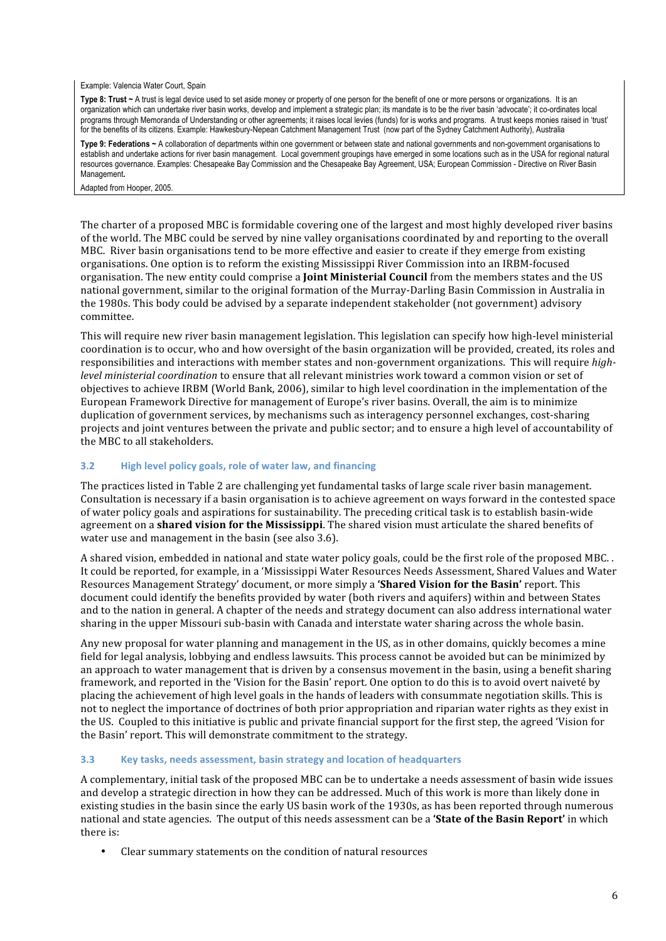#### Example: Valencia Water Court, Spain

Type 8: Trust ~ A trust is legal device used to set aside money or property of one person for the benefit of one or more persons or organizations. It is an organization which can undertake river basin works, develop and implement a strategic plan; its mandate is to be the river basin 'advocate'; it co-ordinates local programs through Memoranda of Understanding or other agreements; it raises local levies (funds) for is works and programs. A trust keeps monies raised in 'trust' for the benefits of its citizens. Example: Hawkesbury-Nepean Catchment Management Trust (now part of the Sydney Catchment Authority), Australia

**Type 9: Federations ~** A collaboration of departments within one government or between state and national governments and non-government organisations to establish and undertake actions for river basin management. Local government groupings have emerged in some locations such as in the USA for regional natural resources governance. Examples: Chesapeake Bay Commission and the Chesapeake Bay Agreement, USA; European Commission - Directive on River Basin Management**.**

Adapted from Hooper, 2005.

The charter of a proposed MBC is formidable covering one of the largest and most highly developed river basins of the world. The MBC could be served by nine valley organisations coordinated by and reporting to the overall MBC. River basin organisations tend to be more effective and easier to create if they emerge from existing organisations. One option is to reform the existing Mississippi River Commission into an IRBM‐focused organisation. The new entity could comprise a **Joint Ministerial Council** from the members states and the US national government, similar to the original formation of the Murray‐Darling Basin Commission in Australia in the 1980s. This body could be advised by a separate independent stakeholder (not government) advisory committee.

This will require new river basin management legislation. This legislation can specify how high‐level ministerial coordination is to occur, who and how oversight of the basin organization will be provided, created, its roles and responsibilities and interactions with member states and non‐government organizations. This will require *highlevel ministerial coordination* to ensure that all relevant ministries work toward a common vision or set of objectives to achieve IRBM (World Bank, 2006), similar to high level coordination in the implementation of the European Framework Directive for management of Europe's river basins. Overall, the aim is to minimize duplication of government services, by mechanisms such as interagency personnel exchanges, cost-sharing projects and joint ventures between the private and public sector; and to ensure a high level of accountability of the MBC to all stakeholders.

#### **3.2 High level policy goals, role of water law, and financing**

The practices listed in Table 2 are challenging yet fundamental tasks of large scale river basin management. Consultation is necessary if a basin organisation is to achieve agreement on ways forward in the contested space of water policy goals and aspirations for sustainability. The preceding critical task is to establish basin‐wide agreement on a **shared vision for the Mississippi**. The shared vision must articulate the shared benefits of water use and management in the basin (see also 3.6).

A shared vision, embedded in national and state water policy goals, could be the first role of the proposed MBC. . It could be reported, for example, in a 'Mississippi Water Resources Needs Assessment, Shared Values and Water Resources Management Strategy' document, or more simply a **'Shared Vision for the Basin'** report. This document could identify the benefits provided by water (both rivers and aquifers) within and between States and to the nation in general. A chapter of the needs and strategy document can also address international water sharing in the upper Missouri sub‐basin with Canada and interstate water sharing across the whole basin.

Any new proposal for water planning and management in the US, as in other domains, quickly becomes a mine field for legal analysis, lobbying and endless lawsuits. This process cannot be avoided but can be minimized by an approach to water management that is driven by a consensus movement in the basin, using a benefit sharing framework, and reported in the 'Vision for the Basin' report. One option to do this is to avoid overt naiveté by placing the achievement of high level goals in the hands of leaders with consummate negotiation skills. This is not to neglect the importance of doctrines of both prior appropriation and riparian water rights as they exist in the US. Coupled to this initiative is public and private financial support for the first step, the agreed 'Vision for the Basin' report. This will demonstrate commitment to the strategy.

#### **3.3 Key tasks, needs assessment, basin strategy and location of headquarters**

A complementary, initial task of the proposed MBC can be to undertake a needs assessment of basin wide issues and develop a strategic direction in how they can be addressed. Much of this work is more than likely done in existing studies in the basin since the early US basin work of the 1930s, as has been reported through numerous national and state agencies. The output of this needs assessment can be a **'State of the Basin Report'** in which there is:

• Clear summary statements on the condition of natural resources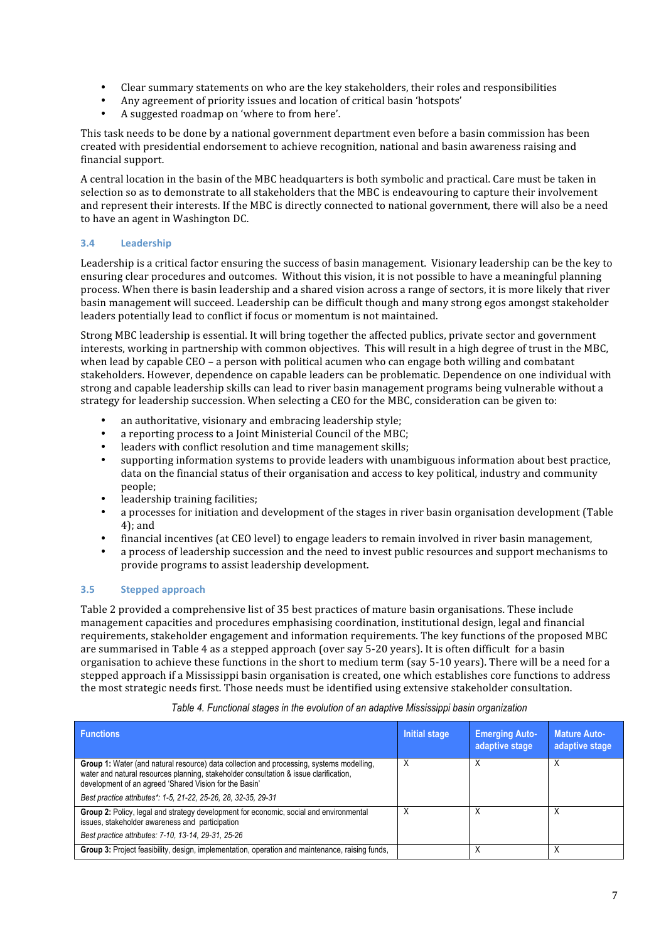- Clear summary statements on who are the key stakeholders, their roles and responsibilities
- Any agreement of priority issues and location of critical basin 'hotspots'<br>• A suggested roadman on 'where to from here'
- A suggested roadmap on 'where to from here'.

This task needs to be done by a national government department even before a basin commission has been created with presidential endorsement to achieve recognition, national and basin awareness raising and financial support.

A central location in the basin of the MBC headquarters is both symbolic and practical. Care must be taken in selection so as to demonstrate to all stakeholders that the MBC is endeavouring to capture their involvement and represent their interests. If the MBC is directly connected to national government, there will also be a need to have an agent in Washington DC.

### **3.4 Leadership**

Leadership is a critical factor ensuring the success of basin management. Visionary leadership can be the key to ensuring clear procedures and outcomes. Without this vision, it is not possible to have a meaningful planning process. When there is basin leadership and a shared vision across a range of sectors, it is more likely that river basin management will succeed. Leadership can be difficult though and many strong egos amongst stakeholder leaders potentially lead to conflict if focus or momentum is not maintained.

Strong MBC leadership is essential. It will bring together the affected publics, private sector and government interests, working in partnership with common objectives. This will result in a high degree of trust in the MBC, when lead by capable CEO – a person with political acumen who can engage both willing and combatant stakeholders. However, dependence on capable leaders can be problematic. Dependence on one individual with strong and capable leadership skills can lead to river basin management programs being vulnerable without a strategy for leadership succession. When selecting a CEO for the MBC, consideration can be given to:

- an authoritative, visionary and embracing leadership style;
- a reporting process to a Joint Ministerial Council of the MBC;
- leaders with conflict resolution and time management skills;
- supporting information systems to provide leaders with unambiguous information about best practice, data on the financial status of their organisation and access to key political, industry and community people;
- leadership training facilities:
- a processes for initiation and development of the stages in river basin organisation development (Table 4); and
- financial incentives (at CEO level) to engage leaders to remain involved in river basin management,
- a process of leadership succession and the need to invest public resources and support mechanisms to provide programs to assist leadership development.

### **3.5 Stepped approach**

Table 2 provided a comprehensive list of 35 best practices of mature basin organisations. These include management capacities and procedures emphasising coordination, institutional design, legal and financial requirements, stakeholder engagement and information requirements. The key functions of the proposed MBC are summarised in Table 4 as a stepped approach (over say 5‐20 years). It is often difficult for a basin organisation to achieve these functions in the short to medium term (say 5‐10 years). There will be a need for a stepped approach if a Mississippi basin organisation is created, one which establishes core functions to address the most strategic needs first. Those needs must be identified using extensive stakeholder consultation.

| <b>Functions</b>                                                                                                                                                                                                                                   | <b>Initial stage</b> | <b>Emerging Auto-</b><br>adaptive stage | <b>Mature Auto-</b><br>adaptive stage |
|----------------------------------------------------------------------------------------------------------------------------------------------------------------------------------------------------------------------------------------------------|----------------------|-----------------------------------------|---------------------------------------|
| <b>Group 1:</b> Water (and natural resource) data collection and processing, systems modelling,<br>water and natural resources planning, stakeholder consultation & issue clarification,<br>development of an agreed 'Shared Vision for the Basin' |                      |                                         |                                       |
| Best practice attributes*: 1-5, 21-22, 25-26, 28, 32-35, 29-31                                                                                                                                                                                     |                      |                                         |                                       |
| Group 2: Policy, legal and strategy development for economic, social and environmental<br>issues, stakeholder awareness and participation                                                                                                          |                      |                                         |                                       |
| Best practice attributes: 7-10, 13-14, 29-31, 25-26                                                                                                                                                                                                |                      |                                         |                                       |
| Group 3: Project feasibility, design, implementation, operation and maintenance, raising funds,                                                                                                                                                    |                      |                                         |                                       |

#### *Table 4. Functional stages in the evolution of an adaptive Mississippi basin organization*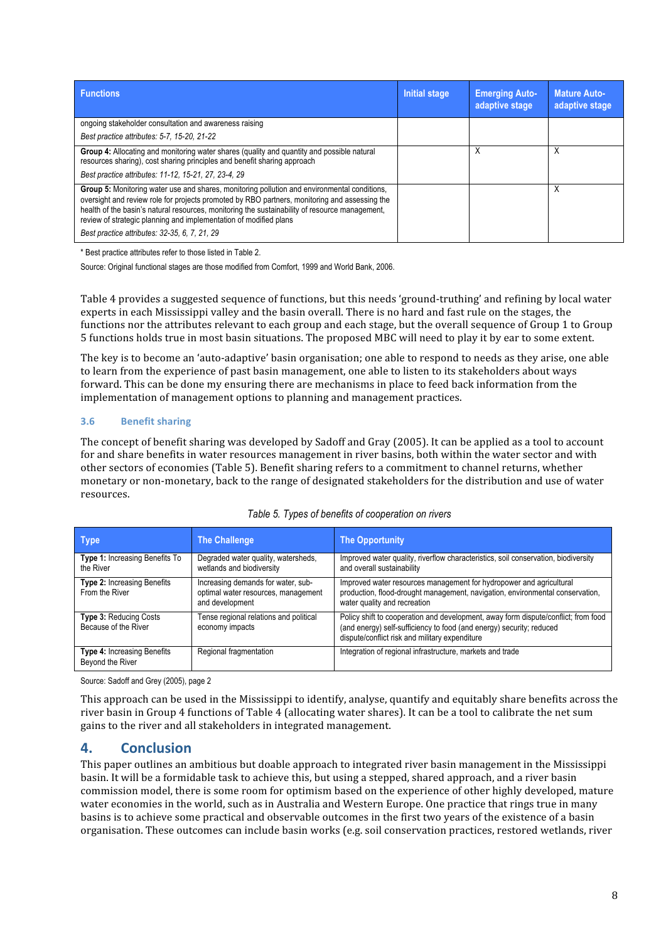| <b>Functions</b>                                                                                                                                                                                                                                                                                                                                                                                                      | <b>Initial stage</b> | <b>Emerging Auto-</b><br>adaptive stage | <b>Mature Auto-</b><br>adaptive stage |
|-----------------------------------------------------------------------------------------------------------------------------------------------------------------------------------------------------------------------------------------------------------------------------------------------------------------------------------------------------------------------------------------------------------------------|----------------------|-----------------------------------------|---------------------------------------|
| ongoing stakeholder consultation and awareness raising                                                                                                                                                                                                                                                                                                                                                                |                      |                                         |                                       |
| Best practice attributes: 5-7, 15-20, 21-22                                                                                                                                                                                                                                                                                                                                                                           |                      |                                         |                                       |
| Group 4: Allocating and monitoring water shares (quality and quantity and possible natural<br>resources sharing), cost sharing principles and benefit sharing approach<br>Best practice attributes: 11-12, 15-21, 27, 23-4, 29                                                                                                                                                                                        |                      |                                         | Χ                                     |
| Group 5: Monitoring water use and shares, monitoring pollution and environmental conditions,<br>oversight and review role for projects promoted by RBO partners, monitoring and assessing the<br>health of the basin's natural resources, monitoring the sustainability of resource management,<br>review of strategic planning and implementation of modified plans<br>Best practice attributes: 32-35, 6, 7, 21, 29 |                      |                                         | Χ                                     |

\* Best practice attributes refer to those listed in Table 2.

Source: Original functional stages are those modified from Comfort, 1999 and World Bank, 2006.

Table 4 provides a suggested sequence of functions, but this needs 'ground‐truthing' and refining by local water experts in each Mississippi valley and the basin overall. There is no hard and fast rule on the stages, the functions nor the attributes relevant to each group and each stage, but the overall sequence of Group 1 to Group 5 functions holds true in most basin situations. The proposed MBC will need to play it by ear to some extent.

The key is to become an 'auto-adaptive' basin organisation; one able to respond to needs as they arise, one able to learn from the experience of past basin management, one able to listen to its stakeholders about ways forward. This can be done my ensuring there are mechanisms in place to feed back information from the implementation of management options to planning and management practices.

### **3.6 Benefit sharing**

The concept of benefit sharing was developed by Sadoff and Gray (2005). It can be applied as a tool to account for and share benefits in water resources management in river basins, both within the water sector and with other sectors of economies (Table 5). Benefit sharing refers to a commitment to channel returns, whether monetary or non-monetary, back to the range of designated stakeholders for the distribution and use of water resources.

| <b>Type</b>                                           | <b>The Challenge</b>                                                                         | <b>The Opportunity</b>                                                                                                                                                                                       |
|-------------------------------------------------------|----------------------------------------------------------------------------------------------|--------------------------------------------------------------------------------------------------------------------------------------------------------------------------------------------------------------|
| Type 1: Increasing Benefits To<br>the River           | Degraded water quality, watersheds,<br>wetlands and biodiversity                             | Improved water quality, riverflow characteristics, soil conservation, biodiversity<br>and overall sustainability                                                                                             |
| <b>Type 2: Increasing Benefits</b><br>From the River  | Increasing demands for water, sub-<br>optimal water resources, management<br>and development | Improved water resources management for hydropower and agricultural<br>production, flood-drought management, navigation, environmental conservation,<br>water quality and recreation                         |
| <b>Type 3: Reducing Costs</b><br>Because of the River | Tense regional relations and political<br>economy impacts                                    | Policy shift to cooperation and development, away form dispute/conflict; from food<br>(and energy) self-sufficiency to food (and energy) security; reduced<br>dispute/conflict risk and military expenditure |
| Type 4: Increasing Benefits<br>Beyond the River       | Regional fragmentation                                                                       | Integration of regional infrastructure, markets and trade                                                                                                                                                    |

| Table 5. Types of benefits of cooperation on rivers |  |
|-----------------------------------------------------|--|
|-----------------------------------------------------|--|

Source: Sadoff and Grey (2005), page 2

This approach can be used in the Mississippi to identify, analyse, quantify and equitably share benefits across the river basin in Group 4 functions of Table 4 (allocating water shares). It can be a tool to calibrate the net sum gains to the river and all stakeholders in integrated management.

## **4. Conclusion**

This paper outlines an ambitious but doable approach to integrated river basin management in the Mississippi basin. It will be a formidable task to achieve this, but using a stepped, shared approach, and a river basin commission model, there is some room for optimism based on the experience of other highly developed, mature water economies in the world, such as in Australia and Western Europe. One practice that rings true in many basins is to achieve some practical and observable outcomes in the first two years of the existence of a basin organisation. These outcomes can include basin works (e.g. soil conservation practices, restored wetlands, river